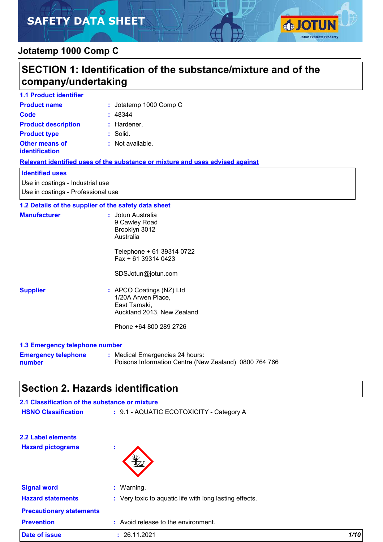# **SAFETY DATA SHEET**



### **Jotatemp 1000 Comp C**

|                                                | SECTION 1: Identification of the substance/mixture and of the                                                                                |
|------------------------------------------------|----------------------------------------------------------------------------------------------------------------------------------------------|
| company/undertaking                            |                                                                                                                                              |
| <b>1.1 Product identifier</b>                  |                                                                                                                                              |
| <b>Product name</b>                            | : Jotatemp 1000 Comp C                                                                                                                       |
| Code                                           | : 48344                                                                                                                                      |
| <b>Product description</b>                     | $:$ Hardener.                                                                                                                                |
| <b>Product type</b>                            | : Solid.                                                                                                                                     |
| <b>Other means of</b><br>identification        | : Not available.                                                                                                                             |
|                                                | Relevant identified uses of the substance or mixture and uses advised against                                                                |
| <b>Identified uses</b>                         |                                                                                                                                              |
| Use in coatings - Industrial use               |                                                                                                                                              |
| Use in coatings - Professional use             |                                                                                                                                              |
|                                                | 1.2 Details of the supplier of the safety data sheet                                                                                         |
| <b>Manufacturer</b>                            | : Jotun Australia<br>9 Cawley Road<br>Brooklyn 3012<br>Australia<br>Telephone + 61 39314 0722<br>$Fax + 61 39314 0423$<br>SDSJotun@jotun.com |
| <b>Supplier</b>                                | : APCO Coatings (NZ) Ltd<br>1/20A Arwen Place,<br>East Tamaki,<br>Auckland 2013, New Zealand<br>Phone +64 800 289 2726                       |
| 1.3 Emergency telephone number                 |                                                                                                                                              |
| number                                         | <b>Emergency telephone : Medical Emergencies 24 hours:</b><br>Poisons Information Centre (New Zealand) 0800 764 766                          |
|                                                | <b>Section 2. Hazards identification</b>                                                                                                     |
| 2.1 Classification of the substance or mixture |                                                                                                                                              |
| <b>HSNO Classification</b>                     | : 9.1 - AQUATIC ECOTOXICITY - Category A                                                                                                     |
|                                                |                                                                                                                                              |

**2.2 Label elements Hazard pictograms :**



| <b>Signal word</b><br><b>Hazard statements</b> | : Warning.<br>: Very toxic to aquatic life with long lasting effects. |      |
|------------------------------------------------|-----------------------------------------------------------------------|------|
| <b>Precautionary statements</b>                |                                                                       |      |
| <b>Prevention</b>                              | : Avoid release to the environment.                                   |      |
| <b>Date of issue</b>                           | : 26.11.2021                                                          | 1/10 |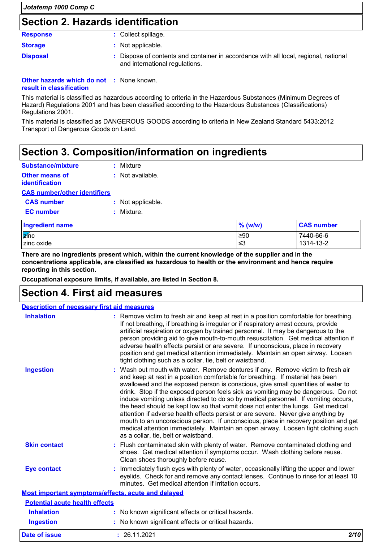### **Section 2. Hazards identification**

#### **Response :** Collect spillage.

| <b>Storage</b> | : Not applicable. |
|----------------|-------------------|
|                |                   |

**Disposal 1993 :** Dispose of contents and container in accordance with all local, regional, national and international regulations.

#### **Other hazards which do not :** None known. **result in classification**

This material is classified as hazardous according to criteria in the Hazardous Substances (Minimum Degrees of Hazard) Regulations 2001 and has been classified according to the Hazardous Substances (Classifications) Regulations 2001.

This material is classified as DANGEROUS GOODS according to criteria in New Zealand Standard 5433:2012 Transport of Dangerous Goods on Land.

### **Section 3. Composition/information on ingredients**

| Substance/mixture                              |  | : Mixture            |
|------------------------------------------------|--|----------------------|
| <b>Other means of</b><br><b>identification</b> |  | $\pm$ Not available. |
| <b>CAS number/other identifiers</b>            |  |                      |
| <b>CAS number</b>                              |  | : Not applicable.    |
| <b>EC</b> number                               |  | : Mixture            |

| Ingredient name        | $%$ (w/w) | <b>CAS number</b> |
|------------------------|-----------|-------------------|
| $\sqrt{\mathbf{z}}$ nc | ≥90       | 7440-66-6         |
| zinc oxide             | ≤3        | 1314-13-2         |

**There are no ingredients present which, within the current knowledge of the supplier and in the concentrations applicable, are classified as hazardous to health or the environment and hence require reporting in this section.**

**Occupational exposure limits, if available, are listed in Section 8.**

### **Section 4. First aid measures**

| <b>Description of necessary first aid measures</b> |                                                                                                                                                                                                                                                                                                                                                                                                                                                                                                                                                                                                                                                                                                                                                                                                                              |
|----------------------------------------------------|------------------------------------------------------------------------------------------------------------------------------------------------------------------------------------------------------------------------------------------------------------------------------------------------------------------------------------------------------------------------------------------------------------------------------------------------------------------------------------------------------------------------------------------------------------------------------------------------------------------------------------------------------------------------------------------------------------------------------------------------------------------------------------------------------------------------------|
| <b>Inhalation</b>                                  | : Remove victim to fresh air and keep at rest in a position comfortable for breathing.<br>If not breathing, if breathing is irregular or if respiratory arrest occurs, provide<br>artificial respiration or oxygen by trained personnel. It may be dangerous to the<br>person providing aid to give mouth-to-mouth resuscitation. Get medical attention if<br>adverse health effects persist or are severe. If unconscious, place in recovery<br>position and get medical attention immediately. Maintain an open airway. Loosen<br>tight clothing such as a collar, tie, belt or waistband.                                                                                                                                                                                                                                 |
| <b>Ingestion</b>                                   | : Wash out mouth with water. Remove dentures if any. Remove victim to fresh air<br>and keep at rest in a position comfortable for breathing. If material has been<br>swallowed and the exposed person is conscious, give small quantities of water to<br>drink. Stop if the exposed person feels sick as vomiting may be dangerous. Do not<br>induce vomiting unless directed to do so by medical personnel. If vomiting occurs,<br>the head should be kept low so that vomit does not enter the lungs. Get medical<br>attention if adverse health effects persist or are severe. Never give anything by<br>mouth to an unconscious person. If unconscious, place in recovery position and get<br>medical attention immediately. Maintain an open airway. Loosen tight clothing such<br>as a collar, tie, belt or waistband. |
| <b>Skin contact</b>                                | : Flush contaminated skin with plenty of water. Remove contaminated clothing and<br>shoes. Get medical attention if symptoms occur. Wash clothing before reuse.<br>Clean shoes thoroughly before reuse.                                                                                                                                                                                                                                                                                                                                                                                                                                                                                                                                                                                                                      |
| <b>Eye contact</b>                                 | Immediately flush eyes with plenty of water, occasionally lifting the upper and lower<br>eyelids. Check for and remove any contact lenses. Continue to rinse for at least 10<br>minutes. Get medical attention if irritation occurs.                                                                                                                                                                                                                                                                                                                                                                                                                                                                                                                                                                                         |
|                                                    | Most important symptoms/effects, acute and delayed                                                                                                                                                                                                                                                                                                                                                                                                                                                                                                                                                                                                                                                                                                                                                                           |
| <b>Potential acute health effects</b>              |                                                                                                                                                                                                                                                                                                                                                                                                                                                                                                                                                                                                                                                                                                                                                                                                                              |
| <b>Inhalation</b>                                  | : No known significant effects or critical hazards.                                                                                                                                                                                                                                                                                                                                                                                                                                                                                                                                                                                                                                                                                                                                                                          |
| <b>Ingestion</b>                                   | : No known significant effects or critical hazards.                                                                                                                                                                                                                                                                                                                                                                                                                                                                                                                                                                                                                                                                                                                                                                          |

**Date of issue :** 26.11.2021 *2/10*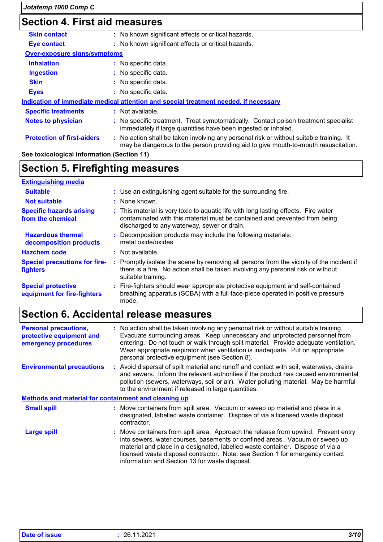## **Section 4. First aid measures**

| <b>Skin contact</b>                 | : No known significant effects or critical hazards.                                                                                                                           |
|-------------------------------------|-------------------------------------------------------------------------------------------------------------------------------------------------------------------------------|
| Eye contact                         | : No known significant effects or critical hazards.                                                                                                                           |
| <b>Over-exposure signs/symptoms</b> |                                                                                                                                                                               |
| <b>Inhalation</b>                   | : No specific data.                                                                                                                                                           |
| <b>Ingestion</b>                    | $\therefore$ No specific data.                                                                                                                                                |
| <b>Skin</b>                         | : No specific data.                                                                                                                                                           |
| <b>Eyes</b>                         | : No specific data.                                                                                                                                                           |
|                                     | Indication of immediate medical attention and special treatment needed, if necessary                                                                                          |
| <b>Specific treatments</b>          | : Not available.                                                                                                                                                              |
| <b>Notes to physician</b>           | : No specific treatment. Treat symptomatically. Contact poison treatment specialist<br>immediately if large quantities have been ingested or inhaled.                         |
| <b>Protection of first-aiders</b>   | : No action shall be taken involving any personal risk or without suitable training. It<br>may be dangerous to the person providing aid to give mouth-to-mouth resuscitation. |

### **See toxicological information (Section 11)**

### **Section 5. Firefighting measures**

| <b>Extinguishing media</b>                               |    |                                                                                                                                                                                                                  |
|----------------------------------------------------------|----|------------------------------------------------------------------------------------------------------------------------------------------------------------------------------------------------------------------|
| <b>Suitable</b>                                          |    | : Use an extinguishing agent suitable for the surrounding fire.                                                                                                                                                  |
| <b>Not suitable</b>                                      |    | : None known.                                                                                                                                                                                                    |
| <b>Specific hazards arising</b><br>from the chemical     |    | : This material is very toxic to aquatic life with long lasting effects. Fire water<br>contaminated with this material must be contained and prevented from being<br>discharged to any waterway, sewer or drain. |
| <b>Hazardous thermal</b><br>decomposition products       |    | : Decomposition products may include the following materials:<br>metal oxide/oxides                                                                                                                              |
| <b>Hazchem code</b>                                      |    | : Not available.                                                                                                                                                                                                 |
| <b>Special precautions for fire-</b><br><b>fighters</b>  | ÷. | Promptly isolate the scene by removing all persons from the vicinity of the incident if<br>there is a fire. No action shall be taken involving any personal risk or without<br>suitable training.                |
| <b>Special protective</b><br>equipment for fire-fighters |    | : Fire-fighters should wear appropriate protective equipment and self-contained<br>breathing apparatus (SCBA) with a full face-piece operated in positive pressure<br>mode.                                      |

# **Section 6. Accidental release measures**

| <b>Personal precautions,</b><br>protective equipment and<br>emergency procedures | : No action shall be taken involving any personal risk or without suitable training.<br>Evacuate surrounding areas. Keep unnecessary and unprotected personnel from<br>entering. Do not touch or walk through spilt material. Provide adequate ventilation.<br>Wear appropriate respirator when ventilation is inadequate. Put on appropriate<br>personal protective equipment (see Section 8). |
|----------------------------------------------------------------------------------|-------------------------------------------------------------------------------------------------------------------------------------------------------------------------------------------------------------------------------------------------------------------------------------------------------------------------------------------------------------------------------------------------|
| <b>Environmental precautions</b>                                                 | : Avoid dispersal of spilt material and runoff and contact with soil, waterways, drains<br>and sewers. Inform the relevant authorities if the product has caused environmental<br>pollution (sewers, waterways, soil or air). Water polluting material. May be harmful<br>to the environment if released in large quantities.                                                                   |
| <b>Methods and material for containment and cleaning up</b>                      |                                                                                                                                                                                                                                                                                                                                                                                                 |
| <b>Small spill</b>                                                               | : Move containers from spill area. Vacuum or sweep up material and place in a<br>designated, labelled waste container. Dispose of via a licensed waste disposal<br>contractor.                                                                                                                                                                                                                  |
| <b>Large spill</b>                                                               | : Move containers from spill area. Approach the release from upwind. Prevent entry<br>into sewers, water courses, basements or confined areas. Vacuum or sweep up<br>material and place in a designated, labelled waste container. Dispose of via a<br>licensed waste disposal contractor. Note: see Section 1 for emergency contact<br>information and Section 13 for waste disposal.          |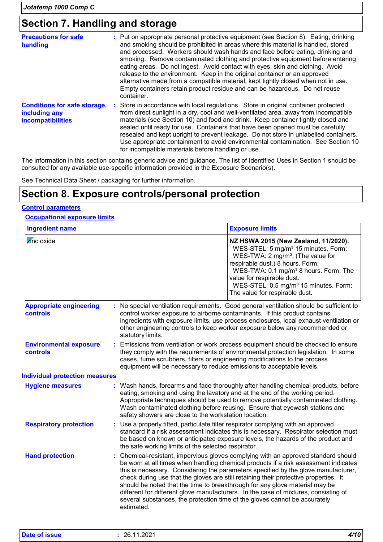### **Section 7. Handling and storage**

| <b>Precautions for safe</b><br>handling                                          | : Put on appropriate personal protective equipment (see Section 8). Eating, drinking<br>and smoking should be prohibited in areas where this material is handled, stored<br>and processed. Workers should wash hands and face before eating, drinking and<br>smoking. Remove contaminated clothing and protective equipment before entering<br>eating areas. Do not ingest. Avoid contact with eyes, skin and clothing. Avoid<br>release to the environment. Keep in the original container or an approved<br>alternative made from a compatible material, kept tightly closed when not in use.<br>Empty containers retain product residue and can be hazardous. Do not reuse<br>container. |
|----------------------------------------------------------------------------------|---------------------------------------------------------------------------------------------------------------------------------------------------------------------------------------------------------------------------------------------------------------------------------------------------------------------------------------------------------------------------------------------------------------------------------------------------------------------------------------------------------------------------------------------------------------------------------------------------------------------------------------------------------------------------------------------|
| <b>Conditions for safe storage,</b><br>including any<br><b>incompatibilities</b> | : Store in accordance with local regulations. Store in original container protected<br>from direct sunlight in a dry, cool and well-ventilated area, away from incompatible<br>materials (see Section 10) and food and drink. Keep container tightly closed and<br>sealed until ready for use. Containers that have been opened must be carefully<br>resealed and kept upright to prevent leakage. Do not store in unlabelled containers.<br>Use appropriate containment to avoid environmental contamination. See Section 10<br>for incompatible materials before handling or use.                                                                                                         |

The information in this section contains generic advice and guidance. The list of Identified Uses in Section 1 should be consulted for any available use-specific information provided in the Exposure Scenario(s).

See Technical Data Sheet / packaging for further information.

### **Section 8. Exposure controls/personal protection**

### **Control parameters**

**Occupational exposure limits**

| <b>Ingredient name</b>                            |                                                       | <b>Exposure limits</b>                                                                                                                                                                                                                                                                                                                                                                                                                                                                                                                                                                                    |  |
|---------------------------------------------------|-------------------------------------------------------|-----------------------------------------------------------------------------------------------------------------------------------------------------------------------------------------------------------------------------------------------------------------------------------------------------------------------------------------------------------------------------------------------------------------------------------------------------------------------------------------------------------------------------------------------------------------------------------------------------------|--|
| zínc oxide                                        |                                                       | NZ HSWA 2015 (New Zealand, 11/2020).<br>WES-STEL: 5 mg/m <sup>3</sup> 15 minutes. Form:<br>WES-TWA: $2 \text{ mg/m}^3$ , (The value for<br>respirable dust.) 8 hours. Form:<br>WES-TWA: 0.1 mg/m <sup>3</sup> 8 hours. Form: The<br>value for respirable dust.<br>WES-STEL: 0.5 mg/m <sup>3</sup> 15 minutes. Form:<br>The value for respirable dust.                                                                                                                                                                                                                                                     |  |
| <b>Appropriate engineering</b><br><b>controls</b> | statutory limits.                                     | : No special ventilation requirements. Good general ventilation should be sufficient to<br>control worker exposure to airborne contaminants. If this product contains<br>ingredients with exposure limits, use process enclosures, local exhaust ventilation or<br>other engineering controls to keep worker exposure below any recommended or                                                                                                                                                                                                                                                            |  |
| <b>Environmental exposure</b><br>controls         |                                                       | Emissions from ventilation or work process equipment should be checked to ensure<br>they comply with the requirements of environmental protection legislation. In some<br>cases, fume scrubbers, filters or engineering modifications to the process<br>equipment will be necessary to reduce emissions to acceptable levels.                                                                                                                                                                                                                                                                             |  |
| <b>Individual protection measures</b>             |                                                       |                                                                                                                                                                                                                                                                                                                                                                                                                                                                                                                                                                                                           |  |
| <b>Hygiene measures</b>                           | safety showers are close to the workstation location. | : Wash hands, forearms and face thoroughly after handling chemical products, before<br>eating, smoking and using the lavatory and at the end of the working period.<br>Appropriate techniques should be used to remove potentially contaminated clothing.<br>Wash contaminated clothing before reusing. Ensure that eyewash stations and                                                                                                                                                                                                                                                                  |  |
| <b>Respiratory protection</b>                     |                                                       | : Use a properly fitted, particulate filter respirator complying with an approved<br>standard if a risk assessment indicates this is necessary. Respirator selection must<br>be based on known or anticipated exposure levels, the hazards of the product and<br>the safe working limits of the selected respirator.                                                                                                                                                                                                                                                                                      |  |
| <b>Hand protection</b>                            | estimated.                                            | Chemical-resistant, impervious gloves complying with an approved standard should<br>be worn at all times when handling chemical products if a risk assessment indicates<br>this is necessary. Considering the parameters specified by the glove manufacturer,<br>check during use that the gloves are still retaining their protective properties. It<br>should be noted that the time to breakthrough for any glove material may be<br>different for different glove manufacturers. In the case of mixtures, consisting of<br>several substances, the protection time of the gloves cannot be accurately |  |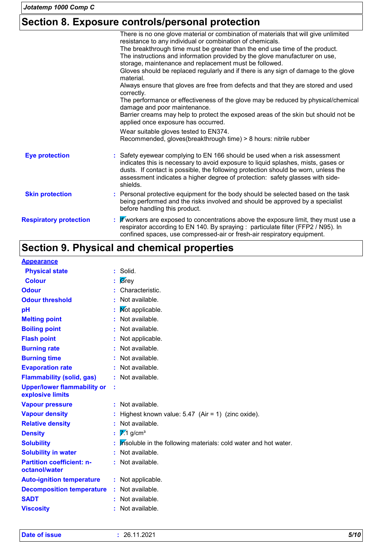## **Section 8. Exposure controls/personal protection**

|                               | There is no one glove material or combination of materials that will give unlimited<br>resistance to any individual or combination of chemicals.                                                                                                                                                                                                   |
|-------------------------------|----------------------------------------------------------------------------------------------------------------------------------------------------------------------------------------------------------------------------------------------------------------------------------------------------------------------------------------------------|
|                               | The breakthrough time must be greater than the end use time of the product.<br>The instructions and information provided by the glove manufacturer on use,<br>storage, maintenance and replacement must be followed.                                                                                                                               |
|                               | Gloves should be replaced regularly and if there is any sign of damage to the glove<br>material.                                                                                                                                                                                                                                                   |
|                               | Always ensure that gloves are free from defects and that they are stored and used<br>correctly.                                                                                                                                                                                                                                                    |
|                               | The performance or effectiveness of the glove may be reduced by physical/chemical<br>damage and poor maintenance.                                                                                                                                                                                                                                  |
|                               | Barrier creams may help to protect the exposed areas of the skin but should not be<br>applied once exposure has occurred.                                                                                                                                                                                                                          |
|                               | Wear suitable gloves tested to EN374.<br>Recommended, gloves(breakthrough time) > 8 hours: nitrile rubber                                                                                                                                                                                                                                          |
| <b>Eye protection</b>         | : Safety eyewear complying to EN 166 should be used when a risk assessment<br>indicates this is necessary to avoid exposure to liquid splashes, mists, gases or<br>dusts. If contact is possible, the following protection should be worn, unless the<br>assessment indicates a higher degree of protection: safety glasses with side-<br>shields. |
| <b>Skin protection</b>        | : Personal protective equipment for the body should be selected based on the task<br>being performed and the risks involved and should be approved by a specialist<br>before handling this product.                                                                                                                                                |
| <b>Respiratory protection</b> | : <i>If</i> workers are exposed to concentrations above the exposure limit, they must use a<br>respirator according to EN 140. By spraying : particulate filter (FFP2 / N95). In<br>confined spaces, use compressed-air or fresh-air respiratory equipment.                                                                                        |

# **Section 9. Physical and chemical properties**

#### **Appearance**

| <b>Physical state</b>                                  |   | $:$ Solid.                                                      |
|--------------------------------------------------------|---|-----------------------------------------------------------------|
| <b>Colour</b>                                          |   | Grey                                                            |
| <b>Odour</b>                                           |   | Characteristic.                                                 |
| <b>Odour threshold</b>                                 |   | Not available.                                                  |
| pH                                                     |   | Mot applicable.                                                 |
| <b>Melting point</b>                                   |   | Not available.                                                  |
| <b>Boiling point</b>                                   |   | Not available.                                                  |
| <b>Flash point</b>                                     |   | Not applicable.                                                 |
| <b>Burning rate</b>                                    |   | Not available.                                                  |
| <b>Burning time</b>                                    |   | Not available.                                                  |
| <b>Evaporation rate</b>                                |   | Not available.                                                  |
| <b>Flammability (solid, gas)</b>                       |   | : Not available.                                                |
| <b>Upper/lower flammability or</b><br>explosive limits | ÷ |                                                                 |
| <b>Vapour pressure</b>                                 |   | Not available.                                                  |
| <b>Vapour density</b>                                  |   | Highest known value: $5.47$ (Air = 1) (zinc oxide).             |
| <b>Relative density</b>                                |   | Not available.                                                  |
| <b>Density</b>                                         |   | $\mathbb{Z}$ 1 g/cm <sup>3</sup>                                |
| <b>Solubility</b>                                      |   | Insoluble in the following materials: cold water and hot water. |
| <b>Solubility in water</b>                             |   | Not available.                                                  |
| <b>Partition coefficient: n-</b><br>octanol/water      |   | : Not available.                                                |
| <b>Auto-ignition temperature</b>                       |   | : Not applicable.                                               |
| <b>Decomposition temperature</b>                       |   | : Not available.                                                |
| <b>SADT</b>                                            |   | : Not available.                                                |
| <b>Viscosity</b>                                       |   | Not available.                                                  |
|                                                        |   |                                                                 |

| 5/10 |
|------|
|      |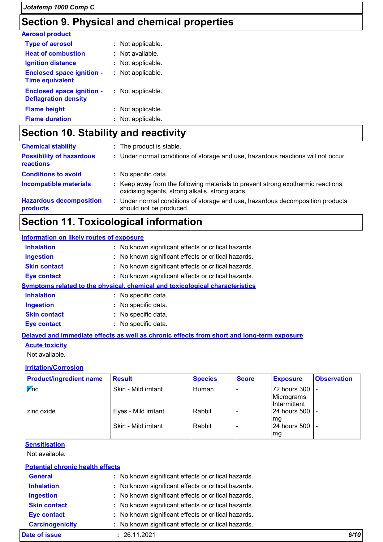### **Section 9. Physical and chemical properties**

| <b>Aerosol product</b>                                          |                    |
|-----------------------------------------------------------------|--------------------|
| <b>Type of aerosol</b>                                          | : Not applicable.  |
| <b>Heat of combustion</b>                                       | $:$ Not available. |
| <b>Ignition distance</b>                                        | : Not applicable.  |
| <b>Enclosed space ignition -</b><br><b>Time equivalent</b>      | : Not applicable.  |
| <b>Enclosed space ignition -</b><br><b>Deflagration density</b> | : Not applicable.  |
| <b>Flame height</b>                                             | : Not applicable.  |
| <b>Flame duration</b>                                           | : Not applicable.  |

# **Section 10. Stability and reactivity**

| <b>Chemical stability</b>                    | : The product is stable.                                                                                                            |
|----------------------------------------------|-------------------------------------------------------------------------------------------------------------------------------------|
| <b>Possibility of hazardous</b><br>reactions | : Under normal conditions of storage and use, hazardous reactions will not occur.                                                   |
| <b>Conditions to avoid</b>                   | : No specific data.                                                                                                                 |
| <b>Incompatible materials</b>                | : Keep away from the following materials to prevent strong exothermic reactions:<br>oxidising agents, strong alkalis, strong acids. |
| <b>Hazardous decomposition</b><br>products   | : Under normal conditions of storage and use, hazardous decomposition products<br>should not be produced.                           |

### **Section 11. Toxicological information**

| <b>Information on likely routes of exposure</b> |                                                                              |
|-------------------------------------------------|------------------------------------------------------------------------------|
| <b>Inhalation</b>                               | : No known significant effects or critical hazards.                          |
| <b>Ingestion</b>                                | : No known significant effects or critical hazards.                          |
| <b>Skin contact</b>                             | : No known significant effects or critical hazards.                          |
| <b>Eye contact</b>                              | : No known significant effects or critical hazards.                          |
|                                                 | Symptoms related to the physical, chemical and toxicological characteristics |
| <b>Inhalation</b>                               | : No specific data.                                                          |
| <b>Ingestion</b>                                | : No specific data.                                                          |
| <b>Skin contact</b>                             | : No specific data.                                                          |
| <b>Eve contact</b>                              | : No specific data.                                                          |

### **Delayed and immediate effects as well as chronic effects from short and long-term exposure**

#### **Acute toxicity**

Not available.

#### **Irritation/Corrosion**

| <b>Product/ingredient name</b> | <b>Result</b>        | <b>Species</b> | <b>Score</b> | <b>Exposure</b>                            | <b>Observation</b> |
|--------------------------------|----------------------|----------------|--------------|--------------------------------------------|--------------------|
| $\overline{z}$ inc             | Skin - Mild irritant | Human          |              | 72 hours 300<br>Micrograms<br>Intermittent |                    |
| I zinc oxide                   | Eyes - Mild irritant | Rabbit         |              | 24 hours 500   -                           |                    |
|                                | Skin - Mild irritant | Rabbit         |              | l mg<br>24 hours 500<br>mg                 |                    |

#### **Sensitisation**

Not available.

#### **Potential chronic health effects**

| Date of issue          | : 26.11.2021                                        | 6/10 |
|------------------------|-----------------------------------------------------|------|
| <b>Carcinogenicity</b> | : No known significant effects or critical hazards. |      |
| <b>Eye contact</b>     | : No known significant effects or critical hazards. |      |
| <b>Skin contact</b>    | : No known significant effects or critical hazards. |      |
| <b>Ingestion</b>       | : No known significant effects or critical hazards. |      |
| <b>Inhalation</b>      | : No known significant effects or critical hazards. |      |
| <b>General</b>         | : No known significant effects or critical hazards. |      |
|                        |                                                     |      |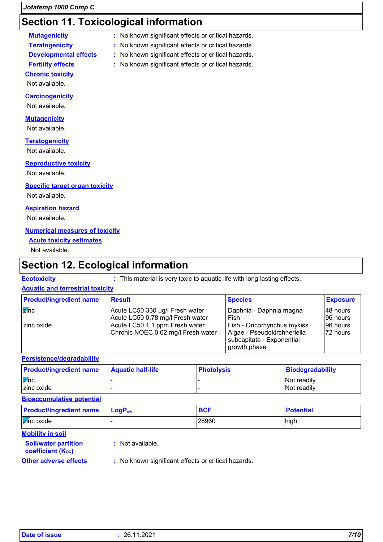### **Section 11. Toxicological information**

| <b>Mutagenicity</b>   |
|-----------------------|
| <b>Teratogenicity</b> |
| Dovalonmontol off     |

- **Mutagenicity :** No known significant effects or critical hazards.
	- **:** No known significant effects or critical hazards.
- **Developmental effects :** No known significant effects or critical hazards.
- **Fertility effects :** No known significant effects or critical hazards.

### **Chronic toxicity**

Not available.

#### **Carcinogenicity**

Not available.

#### **Mutagenicity**

Not available.

#### **Teratogenicity**

Not available.

#### **Reproductive toxicity**

Not available.

#### **Specific target organ toxicity**

Not available.

#### **Aspiration hazard**

Not available.

### **Numerical measures of toxicity**

### **Acute toxicity estimates**

Not available.

### **Section 12. Ecological information**

**Ecotoxicity :** This material is very toxic to aquatic life with long lasting effects.

### **Aquatic and terrestrial toxicity**

| <b>Product/ingredient name</b> | <b>Result</b>                      | <b>Species</b>                                           | <b>Exposure</b> |
|--------------------------------|------------------------------------|----------------------------------------------------------|-----------------|
| $\overline{z}$ inc             | Acute LC50 330 µg/l Fresh water    | Daphnia - Daphnia magna                                  | 148 hours       |
|                                | Acute LC50 0.78 mg/l Fresh water   | Fish                                                     | 96 hours        |
| I zinc oxide                   | Acute LC50 1.1 ppm Fresh water     | Fish - Oncorhynchus mykiss                               | 96 hours        |
|                                | Chronic NOEC 0.02 mg/l Fresh water | Algae - Pseudokirchneriella<br>subcapitata - Exponential | 172 hours       |
|                                |                                    | growth phase                                             |                 |

#### **Persistence/degradability**

| <b>Product/ingredient name</b> | <b>Aquatic half-life</b> | <b>Photolysis</b> | Biodegradability |
|--------------------------------|--------------------------|-------------------|------------------|
| $\overline{z}$ <i>nc</i>       |                          |                   | Not readily      |
| I zinc oxide                   |                          |                   | Not readily      |

#### **Bioaccumulative potential**

| <b>Product/ingredient name</b>                          | $LogP_{ow}$      | <b>BCF</b> | <b>Potential</b> |
|---------------------------------------------------------|------------------|------------|------------------|
| $\overline{\mathsf{z}}$ inc oxide                       |                  | 28960      | high             |
| <b>Mobility in soil</b>                                 |                  |            |                  |
| <b>Soil/water partition</b><br><b>coefficient (Koc)</b> | : Not available. |            |                  |

- 
- **Other adverse effects** : No known significant effects or critical hazards.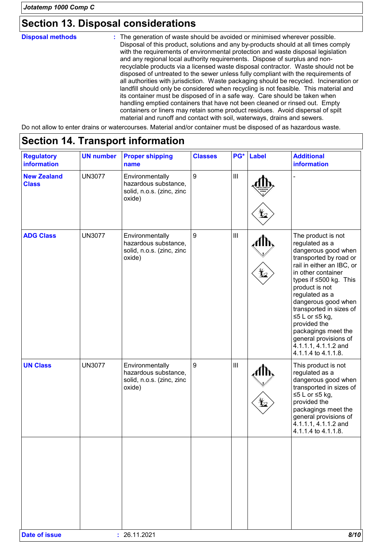### **Section 13. Disposal considerations**

The generation of waste should be avoided or minimised wherever possible. Disposal of this product, solutions and any by-products should at all times comply with the requirements of environmental protection and waste disposal legislation and any regional local authority requirements. Dispose of surplus and nonrecyclable products via a licensed waste disposal contractor. Waste should not be disposed of untreated to the sewer unless fully compliant with the requirements of all authorities with jurisdiction. Waste packaging should be recycled. Incineration or landfill should only be considered when recycling is not feasible. This material and its container must be disposed of in a safe way. Care should be taken when handling emptied containers that have not been cleaned or rinsed out. Empty containers or liners may retain some product residues. Avoid dispersal of spilt material and runoff and contact with soil, waterways, drains and sewers. **Disposal methods :**

Do not allow to enter drains or watercourses. Material and/or container must be disposed of as hazardous waste.

| <b>Regulatory</b><br><b>information</b> | <b>UN number</b> | <b>Proper shipping</b><br>name                                                 | <b>Classes</b> | PG*                                | <b>Label</b> | <b>Additional</b><br>information                                                                                                                                                                                                                                                                                                                                                            |
|-----------------------------------------|------------------|--------------------------------------------------------------------------------|----------------|------------------------------------|--------------|---------------------------------------------------------------------------------------------------------------------------------------------------------------------------------------------------------------------------------------------------------------------------------------------------------------------------------------------------------------------------------------------|
| <b>New Zealand</b><br><b>Class</b>      | <b>UN3077</b>    | Environmentally<br>hazardous substance,<br>solid, n.o.s. (zinc, zinc<br>oxide) | 9              | $\mathbf{III}$                     |              |                                                                                                                                                                                                                                                                                                                                                                                             |
| <b>ADG Class</b>                        | <b>UN3077</b>    | Environmentally<br>hazardous substance,<br>solid, n.o.s. (zinc, zinc<br>oxide) | 9              | $\ensuremath{\mathsf{III}}\xspace$ |              | The product is not<br>regulated as a<br>dangerous good when<br>transported by road or<br>rail in either an IBC, or<br>in other container<br>types if ≤500 kg. This<br>product is not<br>regulated as a<br>dangerous good when<br>transported in sizes of<br>≤5 L or $≤5$ kg,<br>provided the<br>packagings meet the<br>general provisions of<br>4.1.1.1, 4.1.1.2 and<br>4.1.1.4 to 4.1.1.8. |
| <b>UN Class</b>                         | <b>UN3077</b>    | Environmentally<br>hazardous substance,<br>solid, n.o.s. (zinc, zinc<br>oxide) | 9              | $\mathop{\rm III}\nolimits$        |              | This product is not<br>regulated as a<br>dangerous good when<br>transported in sizes of<br>≤5 L or $≤5$ kg,<br>provided the<br>packagings meet the<br>general provisions of<br>4.1.1.1, 4.1.1.2 and<br>4.1.1.4 to 4.1.1.8.                                                                                                                                                                  |
|                                         |                  |                                                                                |                |                                    |              |                                                                                                                                                                                                                                                                                                                                                                                             |

### **Section 14. Transport information**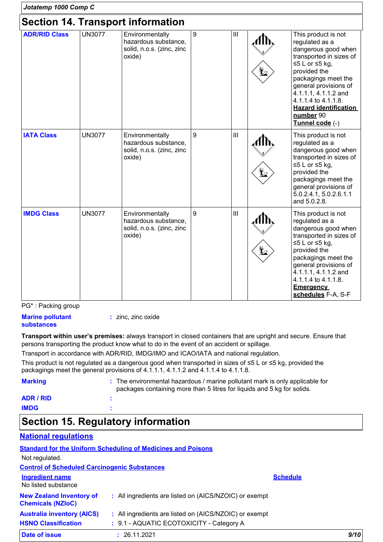| Jotatemp 1000 Comp C                     |               |                                                                                |   |                |  |                                                                                                                                                                                                                                                                                            |
|------------------------------------------|---------------|--------------------------------------------------------------------------------|---|----------------|--|--------------------------------------------------------------------------------------------------------------------------------------------------------------------------------------------------------------------------------------------------------------------------------------------|
| <b>Section 14. Transport information</b> |               |                                                                                |   |                |  |                                                                                                                                                                                                                                                                                            |
| <b>ADR/RID Class</b>                     | <b>UN3077</b> | Environmentally<br>hazardous substance,<br>solid, n.o.s. (zinc, zinc<br>oxide) | 9 | $\mathbf{III}$ |  | This product is not<br>regulated as a<br>dangerous good when<br>transported in sizes of<br>≤5 L or $≤5$ kg,<br>provided the<br>packagings meet the<br>general provisions of<br>4.1.1.1, 4.1.1.2 and<br>4.1.1.4 to 4.1.1.8.<br><b>Hazard identification</b><br>number 90<br>Tunnel code (-) |
| <b>IATA Class</b>                        | <b>UN3077</b> | Environmentally<br>hazardous substance,<br>solid, n.o.s. (zinc, zinc<br>oxide) | 9 | III            |  | This product is not<br>regulated as a<br>dangerous good when<br>transported in sizes of<br>≤5 L or ≤5 kg,<br>provided the<br>packagings meet the<br>general provisions of<br>5.0.2.4.1, 5.0.2.6.1.1<br>and 5.0.2.8.                                                                        |
| <b>IMDG Class</b>                        | <b>UN3077</b> | Environmentally<br>hazardous substance,<br>solid, n.o.s. (zinc, zinc<br>oxide) | 9 | III            |  | This product is not<br>regulated as a<br>dangerous good when<br>transported in sizes of<br>≤5 L or ≤5 kg,<br>provided the<br>packagings meet the<br>general provisions of<br>4.1.1.1, 4.1.1.2 and<br>4.1.1.4 to 4.1.1.8.<br><b>Emergency</b><br>schedules F-A, S-F                         |

PG\* : Packing group

**Marine pollutant substances :** zinc, zinc oxide

**Transport within user's premises:** always transport in closed containers that are upright and secure. Ensure that persons transporting the product know what to do in the event of an accident or spillage.

Transport in accordance with ADR/RID, IMDG/IMO and ICAO/IATA and national regulation.

This product is not regulated as a dangerous good when transported in sizes of ≤5 L or ≤5 kg, provided the packagings meet the general provisions of 4.1.1.1, 4.1.1.2 and 4.1.1.4 to 4.1.1.8.

| <b>Marking</b> | : The environmental hazardous / marine pollutant mark is only applicable for<br>packages containing more than 5 litres for liquids and 5 kg for solids. |
|----------------|---------------------------------------------------------------------------------------------------------------------------------------------------------|
| ADR / RID      |                                                                                                                                                         |
| <b>IMDG</b>    |                                                                                                                                                         |

# **Section 15. Regulatory information**

### **National regulations**

|                                                             | <b>Standard for the Uniform Scheduling of Medicines and Poisons</b> |                 |      |
|-------------------------------------------------------------|---------------------------------------------------------------------|-----------------|------|
| Not regulated.                                              |                                                                     |                 |      |
| <b>Control of Scheduled Carcinogenic Substances</b>         |                                                                     |                 |      |
| <b>Ingredient name</b><br>No listed substance               |                                                                     | <b>Schedule</b> |      |
| <b>New Zealand Inventory of</b><br><b>Chemicals (NZIoC)</b> | : All ingredients are listed on (AICS/NZOIC) or exempt              |                 |      |
| <b>Australia inventory (AICS)</b>                           | : All ingredients are listed on (AICS/NZOIC) or exempt              |                 |      |
| <b>HSNO Classification</b>                                  | : 9.1 - AQUATIC ECOTOXICITY - Category A                            |                 |      |
| Date of issue                                               | 26.11.2021                                                          |                 | 9/10 |